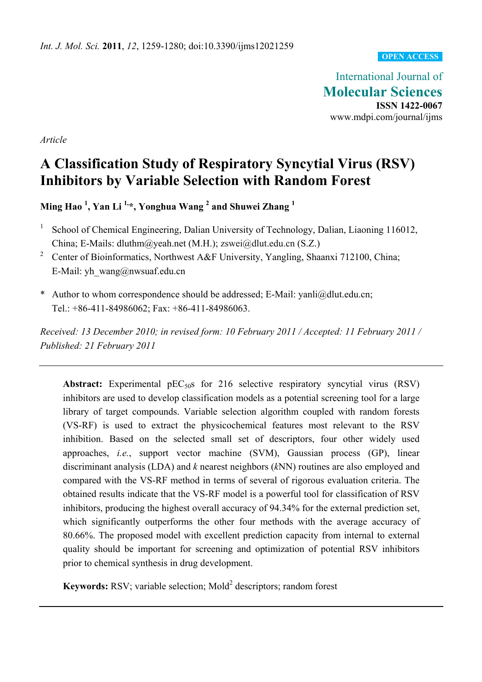#### **OPEN ACCESS**

International Journal of **Molecular Sciences ISSN 1422-0067**  www.mdpi.com/journal/ijms

*Article* 

# **A Classification Study of Respiratory Syncytial Virus (RSV) Inhibitors by Variable Selection with Random Forest**

**Ming Hao <sup>1</sup> , Yan Li 1,\*, Yonghua Wang 2 and Shuwei Zhang <sup>1</sup>**

- 1 School of Chemical Engineering, Dalian University of Technology, Dalian, Liaoning 116012, China; E-Mails: dluthm@yeah.net (M.H.); zswei@dlut.edu.cn (S.Z.)
- <sup>2</sup> Center of Bioinformatics, Northwest A&F University, Yangling, Shaanxi 712100, China; E-Mail: yh\_wang@nwsuaf.edu.cn
- \* Author to whom correspondence should be addressed; E-Mail: yanli@dlut.edu.cn; Tel.: +86-411-84986062; Fax: +86-411-84986063.

*Received: 13 December 2010; in revised form: 10 February 2011 / Accepted: 11 February 2011 / Published: 21 February 2011* 

**Abstract:** Experimental  $pEC_{50}$ s for 216 selective respiratory syncytial virus (RSV) inhibitors are used to develop classification models as a potential screening tool for a large library of target compounds. Variable selection algorithm coupled with random forests (VS-RF) is used to extract the physicochemical features most relevant to the RSV inhibition. Based on the selected small set of descriptors, four other widely used approaches, *i.e.*, support vector machine (SVM), Gaussian process (GP), linear discriminant analysis (LDA) and *k* nearest neighbors (*k*NN) routines are also employed and compared with the VS-RF method in terms of several of rigorous evaluation criteria. The obtained results indicate that the VS-RF model is a powerful tool for classification of RSV inhibitors, producing the highest overall accuracy of 94.34% for the external prediction set, which significantly outperforms the other four methods with the average accuracy of 80.66%. The proposed model with excellent prediction capacity from internal to external quality should be important for screening and optimization of potential RSV inhibitors prior to chemical synthesis in drug development.

**Keywords:** RSV; variable selection; Mold<sup>2</sup> descriptors; random forest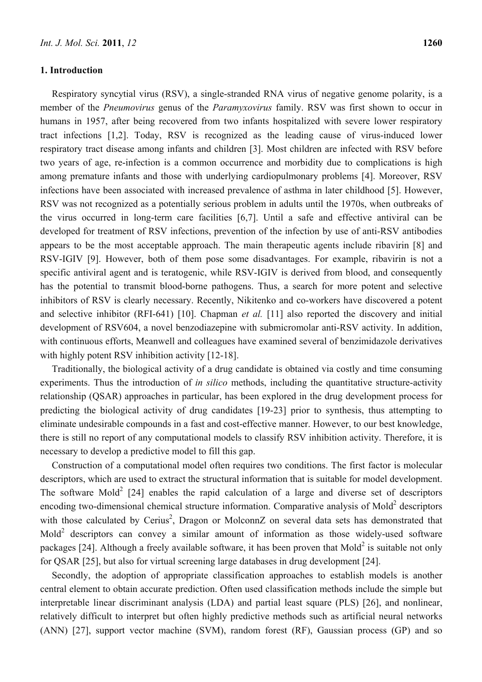#### **1. Introduction**

Respiratory syncytial virus (RSV), a single-stranded RNA virus of negative genome polarity, is a member of the *Pneumovirus* genus of the *Paramyxovirus* family. RSV was first shown to occur in humans in 1957, after being recovered from two infants hospitalized with severe lower respiratory tract infections [1,2]. Today, RSV is recognized as the leading cause of virus-induced lower respiratory tract disease among infants and children [3]. Most children are infected with RSV before two years of age, re-infection is a common occurrence and morbidity due to complications is high among premature infants and those with underlying cardiopulmonary problems [4]. Moreover, RSV infections have been associated with increased prevalence of asthma in later childhood [5]. However, RSV was not recognized as a potentially serious problem in adults until the 1970s, when outbreaks of the virus occurred in long-term care facilities [6,7]. Until a safe and effective antiviral can be developed for treatment of RSV infections, prevention of the infection by use of anti-RSV antibodies appears to be the most acceptable approach. The main therapeutic agents include ribavirin [8] and RSV-IGIV [9]. However, both of them pose some disadvantages. For example, ribavirin is not a specific antiviral agent and is teratogenic, while RSV-IGIV is derived from blood, and consequently has the potential to transmit blood-borne pathogens. Thus, a search for more potent and selective inhibitors of RSV is clearly necessary. Recently, Nikitenko and co-workers have discovered a potent and selective inhibitor (RFI-641) [10]. Chapman *et al.* [11] also reported the discovery and initial development of RSV604, a novel benzodiazepine with submicromolar anti-RSV activity. In addition, with continuous efforts, Meanwell and colleagues have examined several of benzimidazole derivatives with highly potent RSV inhibition activity [12-18].

Traditionally, the biological activity of a drug candidate is obtained via costly and time consuming experiments. Thus the introduction of *in silico* methods, including the quantitative structure-activity relationship (QSAR) approaches in particular, has been explored in the drug development process for predicting the biological activity of drug candidates [19-23] prior to synthesis, thus attempting to eliminate undesirable compounds in a fast and cost-effective manner. However, to our best knowledge, there is still no report of any computational models to classify RSV inhibition activity. Therefore, it is necessary to develop a predictive model to fill this gap.

Construction of a computational model often requires two conditions. The first factor is molecular descriptors, which are used to extract the structural information that is suitable for model development. The software Mold<sup>2</sup> [24] enables the rapid calculation of a large and diverse set of descriptors encoding two-dimensional chemical structure information. Comparative analysis of Mold<sup>2</sup> descriptors with those calculated by Cerius<sup>2</sup>, Dragon or MolconnZ on several data sets has demonstrated that Mold<sup>2</sup> descriptors can convey a similar amount of information as those widely-used software packages [24]. Although a freely available software, it has been proven that Mold<sup>2</sup> is suitable not only for QSAR [25], but also for virtual screening large databases in drug development [24].

Secondly, the adoption of appropriate classification approaches to establish models is another central element to obtain accurate prediction. Often used classification methods include the simple but interpretable linear discriminant analysis (LDA) and partial least square (PLS) [26], and nonlinear, relatively difficult to interpret but often highly predictive methods such as artificial neural networks (ANN) [27], support vector machine (SVM), random forest (RF), Gaussian process (GP) and so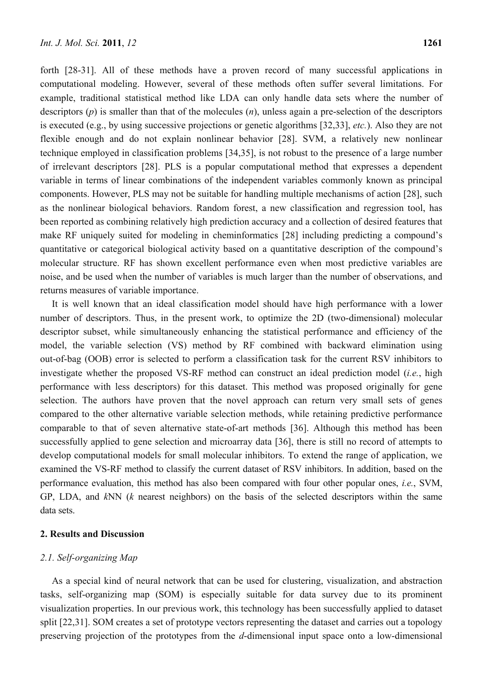forth [28-31]. All of these methods have a proven record of many successful applications in computational modeling. However, several of these methods often suffer several limitations. For example, traditional statistical method like LDA can only handle data sets where the number of descriptors (*p*) is smaller than that of the molecules (*n*), unless again a pre-selection of the descriptors is executed (e.g., by using successive projections or genetic algorithms [32,33], *etc.*). Also they are not flexible enough and do not explain nonlinear behavior [28]. SVM, a relatively new nonlinear technique employed in classification problems [34,35], is not robust to the presence of a large number of irrelevant descriptors [28]. PLS is a popular computational method that expresses a dependent variable in terms of linear combinations of the independent variables commonly known as principal components. However, PLS may not be suitable for handling multiple mechanisms of action [28], such as the nonlinear biological behaviors. Random forest, a new classification and regression tool, has been reported as combining relatively high prediction accuracy and a collection of desired features that make RF uniquely suited for modeling in cheminformatics [28] including predicting a compound's quantitative or categorical biological activity based on a quantitative description of the compound's molecular structure. RF has shown excellent performance even when most predictive variables are noise, and be used when the number of variables is much larger than the number of observations, and returns measures of variable importance.

It is well known that an ideal classification model should have high performance with a lower number of descriptors. Thus, in the present work, to optimize the 2D (two-dimensional) molecular descriptor subset, while simultaneously enhancing the statistical performance and efficiency of the model, the variable selection (VS) method by RF combined with backward elimination using out-of-bag (OOB) error is selected to perform a classification task for the current RSV inhibitors to investigate whether the proposed VS-RF method can construct an ideal prediction model (*i.e.*, high performance with less descriptors) for this dataset. This method was proposed originally for gene selection. The authors have proven that the novel approach can return very small sets of genes compared to the other alternative variable selection methods, while retaining predictive performance comparable to that of seven alternative state-of-art methods [36]. Although this method has been successfully applied to gene selection and microarray data [36], there is still no record of attempts to develop computational models for small molecular inhibitors. To extend the range of application, we examined the VS-RF method to classify the current dataset of RSV inhibitors. In addition, based on the performance evaluation, this method has also been compared with four other popular ones, *i.e.*, SVM, GP, LDA, and *k*NN (*k* nearest neighbors) on the basis of the selected descriptors within the same data sets.

## **2. Results and Discussion**

### *2.1. Self-organizing Map*

As a special kind of neural network that can be used for clustering, visualization, and abstraction tasks, self-organizing map (SOM) is especially suitable for data survey due to its prominent visualization properties. In our previous work, this technology has been successfully applied to dataset split [22,31]. SOM creates a set of prototype vectors representing the dataset and carries out a topology preserving projection of the prototypes from the *d*-dimensional input space onto a low-dimensional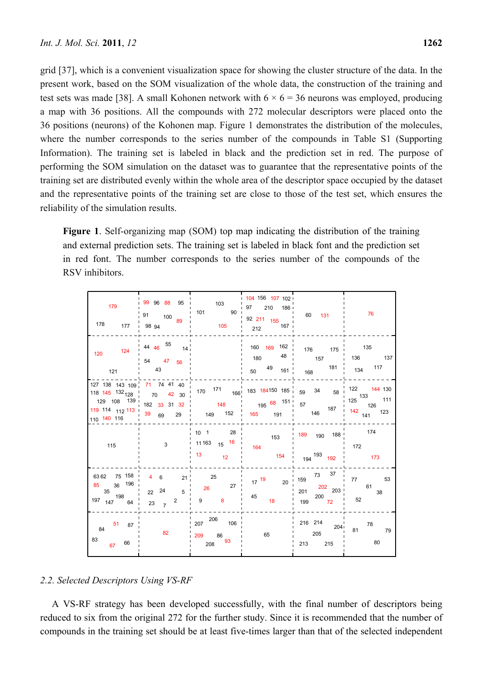grid [37], which is a convenient visualization space for showing the cluster structure of the data. In the present work, based on the SOM visualization of the whole data, the construction of the training and test sets was made [38]. A small Kohonen network with  $6 \times 6 = 36$  neurons was employed, producing a map with 36 positions. All the compounds with 272 molecular descriptors were placed onto the 36 positions (neurons) of the Kohonen map. Figure 1 demonstrates the distribution of the molecules, where the number corresponds to the series number of the compounds in Table S1 (Supporting Information). The training set is labeled in black and the prediction set in red. The purpose of performing the SOM simulation on the dataset was to guarantee that the representative points of the training set are distributed evenly within the whole area of the descriptor space occupied by the dataset and the representative points of the training set are close to those of the test set, which ensures the reliability of the simulation results.

**Figure 1**. Self-organizing map (SOM) top map indicating the distribution of the training and external prediction sets. The training set is labeled in black font and the prediction set in red font. The number corresponds to the series number of the compounds of the RSV inhibitors.

| 179<br>$178$ $177$                                 | $\frac{1}{1}$ 99 96 88 95 $\frac{1}{1}$ 103<br>9894              | 91 100 $\frac{1}{89}$ 101 90<br>105                                | 104 156 107 102<br>97 210 186<br>92 211 155<br>$212$ 167 | 60 131                                                                                                                                            | 76                                       |
|----------------------------------------------------|------------------------------------------------------------------|--------------------------------------------------------------------|----------------------------------------------------------|---------------------------------------------------------------------------------------------------------------------------------------------------|------------------------------------------|
| 120 124<br>121                                     | 44 46 55 $14^{1}$<br>54 47<br>56<br>$\frac{1}{2}$ 43             |                                                                    | 160 169 162<br>48<br>180<br>$50 \t 49 \t 161$            | 176 175 135<br>$168$ $181$ $134$ $117$                                                                                                            | 157 136 137                              |
| 127 138 143 109 71 74 41 40                        |                                                                  | 118 145 132 128   70 42 30   170 171 166 183 184150 185   59 34 58 |                                                          |                                                                                                                                                   | 122 144 130<br>$\frac{125}{125}$ 133 111 |
| 115                                                | 3                                                                | 28<br>$10 \quad 1$<br>11 163 15 16<br>$13 \t\t 12$                 | 153<br>164<br>154                                        | $\frac{1}{189}$ 190 188<br>194 <sup>193</sup> 192                                                                                                 | 172<br>173                               |
| 85 36 196<br>$35$ $198$ $198$ $197$ $147$ $64$ $1$ | 6362 75 158   4 6 21   25<br>5 <sup>1</sup><br>22 24<br>23 $7^2$ | $26$ 27 $^{\circ}$<br>$\overline{8}$<br>$9^{\circ}$                | $17^{19}$ 20<br>$\begin{array}{c} 45 \\ 18 \end{array}$  | $\begin{array}{c cc}\n & - & - \\ \hline\n73 & 37\n\end{array}$ 159<br>$\begin{array}{ccc}\n & 202 & 203\n\end{array}$<br>$\frac{200}{72}$<br>199 | 77 53<br>61<br>38<br>52                  |
| 51 87<br>84<br>83<br>67 66                         | 82                                                               | 207 206 106<br>209 86<br>$208$ 93                                  | 65                                                       | 216 214 204<br>205<br>213 215                                                                                                                     | 81 78<br>79<br>80                        |

## *2.2. Selected Descriptors Using VS-RF*

A VS-RF strategy has been developed successfully, with the final number of descriptors being reduced to six from the original 272 for the further study. Since it is recommended that the number of compounds in the training set should be at least five-times larger than that of the selected independent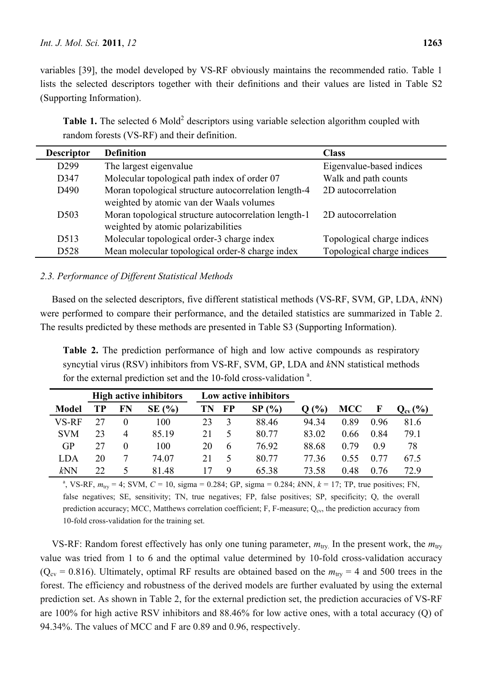variables [39], the model developed by VS-RF obviously maintains the recommended ratio. Table 1 lists the selected descriptors together with their definitions and their values are listed in Table S2 (Supporting Information).

**Table 1.** The selected 6 Mold<sup>2</sup> descriptors using variable selection algorithm coupled with random forests (VS-RF) and their definition.

| <b>Descriptor</b> | <b>Definition</b>                                    | <b>Class</b>               |
|-------------------|------------------------------------------------------|----------------------------|
| D <sub>299</sub>  | The largest eigenvalue                               | Eigenvalue-based indices   |
| D347              | Molecular topological path index of order 07         | Walk and path counts       |
| D <sub>490</sub>  | Moran topological structure autocorrelation length-4 | 2D autocorrelation         |
|                   | weighted by atomic van der Waals volumes             |                            |
| D <sub>503</sub>  | Moran topological structure autocorrelation length-1 | 2D autocorrelation         |
|                   | weighted by atomic polarizabilities                  |                            |
| D <sub>5</sub> 13 | Molecular topological order-3 charge index           | Topological charge indices |
| D <sub>528</sub>  | Mean molecular topological order-8 charge index      | Topological charge indices |

# *2.3. Performance of Different Statistical Methods*

Based on the selected descriptors, five different statistical methods (VS-RF, SVM, GP, LDA, *k*NN) were performed to compare their performance, and the detailed statistics are summarized in Table 2. The results predicted by these methods are presented in Table S3 (Supporting Information).

**Table 2.** The prediction performance of high and low active compounds as respiratory syncytial virus (RSV) inhibitors from VS-RF, SVM, GP, LDA and *k*NN statistical methods for the external prediction set and the 10-fold cross-validation<sup>a</sup>.

|              |    |    | <b>High active inhibitors</b> | Low active inhibitors |    |                            |                 |            |             |                     |
|--------------|----|----|-------------------------------|-----------------------|----|----------------------------|-----------------|------------|-------------|---------------------|
| <b>Model</b> | TР | FN | $SE($ %)                      | TN                    | FP | $\frac{1}{2}$<br><b>SP</b> | $\mathcal{O}_0$ | <b>MCC</b> | $\mathbf F$ | $Q_{\text{cv}}(\%)$ |
| VS-RF        |    |    | 100                           | 23                    |    | 88.46                      | 94.34           | 0.89       | 0.96        | 81.6                |
| <b>SVM</b>   | 23 | 4  | 85.19                         | 21                    |    | 80.77                      | 83.02           | 0.66       | 0.84        | 79.1                |
| <b>GP</b>    | 27 |    | 100                           | 20                    | 6  | 76.92                      | 88.68           | 0.79       | 09          | 78                  |
| LDA          | 20 |    | 74.07                         | 21                    |    | 80.77                      | 77.36           | 0.55       | 0.77        | 67.5                |
| kNN          | 22 | C. | 81.48                         |                       | Q  | 65.38                      | 73.58           | 0.48       | 0.76        | 72.9                |

<sup>a</sup>, VS-RF,  $m_{\text{try}} = 4$ ; SVM,  $C = 10$ , sigma = 0.284; GP, sigma = 0.284;  $kNN$ ,  $k = 17$ ; TP, true positives; FN, false negatives; SE, sensitivity; TN, true negatives; FP, false positives; SP, specificity; Q, the overall prediction accuracy; MCC, Matthews correlation coefficient; F, F-measure;  $Q_{\text{cv}}$ , the prediction accuracy from 10-fold cross-validation for the training set.

VS-RF: Random forest effectively has only one tuning parameter,  $m_{\text{trv}}$ . In the present work, the  $m_{\text{trv}}$ value was tried from 1 to 6 and the optimal value determined by 10-fold cross-validation accuracy ( $Q_{\text{cv}} = 0.816$ ). Ultimately, optimal RF results are obtained based on the  $m_{\text{trv}} = 4$  and 500 trees in the forest. The efficiency and robustness of the derived models are further evaluated by using the external prediction set. As shown in Table 2, for the external prediction set, the prediction accuracies of VS-RF are 100% for high active RSV inhibitors and 88.46% for low active ones, with a total accuracy (Q) of 94.34%. The values of MCC and F are 0.89 and 0.96, respectively.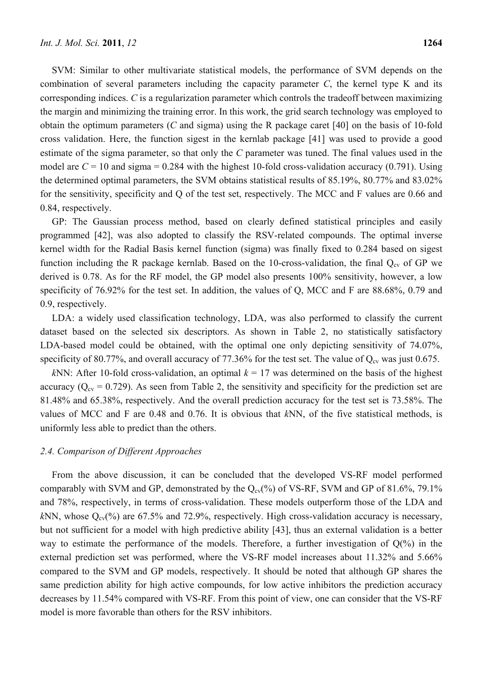SVM: Similar to other multivariate statistical models, the performance of SVM depends on the combination of several parameters including the capacity parameter *C*, the kernel type K and its corresponding indices. *C* is a regularization parameter which controls the tradeoff between maximizing the margin and minimizing the training error. In this work, the grid search technology was employed to obtain the optimum parameters (*C* and sigma) using the R package caret [40] on the basis of 10-fold cross validation. Here, the function sigest in the kernlab package [41] was used to provide a good estimate of the sigma parameter, so that only the *C* parameter was tuned. The final values used in the model are  $C = 10$  and sigma  $= 0.284$  with the highest 10-fold cross-validation accuracy (0.791). Using the determined optimal parameters, the SVM obtains statistical results of 85.19%, 80.77% and 83.02% for the sensitivity, specificity and Q of the test set, respectively. The MCC and F values are 0.66 and 0.84, respectively.

GP: The Gaussian process method, based on clearly defined statistical principles and easily programmed [42], was also adopted to classify the RSV-related compounds. The optimal inverse kernel width for the Radial Basis kernel function (sigma) was finally fixed to 0.284 based on sigest function including the R package kernlab. Based on the 10-cross-validation, the final  $Q_{cv}$  of GP we derived is 0.78. As for the RF model, the GP model also presents 100% sensitivity, however, a low specificity of 76.92% for the test set. In addition, the values of Q, MCC and F are 88.68%, 0.79 and 0.9, respectively.

LDA: a widely used classification technology, LDA, was also performed to classify the current dataset based on the selected six descriptors. As shown in Table 2, no statistically satisfactory LDA-based model could be obtained, with the optimal one only depicting sensitivity of 74.07%, specificity of 80.77%, and overall accuracy of 77.36% for the test set. The value of  $Q_{cv}$  was just 0.675.

*k*NN: After 10-fold cross-validation, an optimal  $k = 17$  was determined on the basis of the highest accuracy ( $Q_{\text{cv}} = 0.729$ ). As seen from Table 2, the sensitivity and specificity for the prediction set are 81.48% and 65.38%, respectively. And the overall prediction accuracy for the test set is 73.58%. The values of MCC and F are 0.48 and 0.76. It is obvious that *k*NN, of the five statistical methods, is uniformly less able to predict than the others.

## *2.4. Comparison of Different Approaches*

From the above discussion, it can be concluded that the developed VS-RF model performed comparably with SVM and GP, demonstrated by the  $Q_{cv}(%)$  of VS-RF, SVM and GP of 81.6%, 79.1% and 78%, respectively, in terms of cross-validation. These models outperform those of the LDA and  $kNN$ , whose  $Q_{cv}(%)$  are 67.5% and 72.9%, respectively. High cross-validation accuracy is necessary, but not sufficient for a model with high predictive ability [43], thus an external validation is a better way to estimate the performance of the models. Therefore, a further investigation of  $Q(\%)$  in the external prediction set was performed, where the VS-RF model increases about 11.32% and 5.66% compared to the SVM and GP models, respectively. It should be noted that although GP shares the same prediction ability for high active compounds, for low active inhibitors the prediction accuracy decreases by 11.54% compared with VS-RF. From this point of view, one can consider that the VS-RF model is more favorable than others for the RSV inhibitors.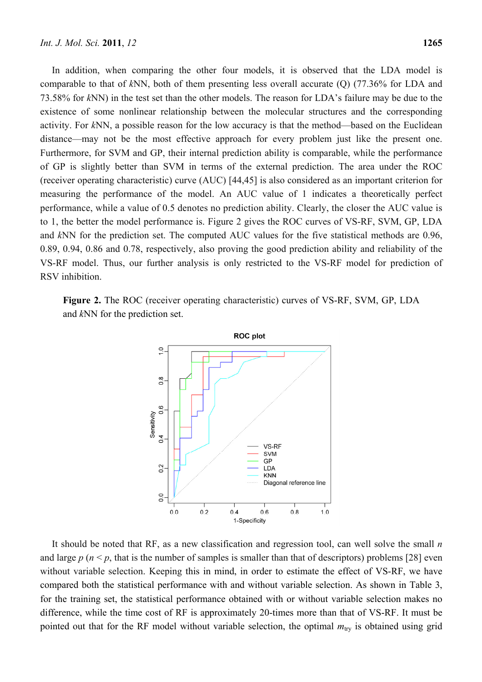In addition, when comparing the other four models, it is observed that the LDA model is comparable to that of *k*NN, both of them presenting less overall accurate (Q) (77.36% for LDA and 73.58% for *k*NN) in the test set than the other models. The reason for LDA's failure may be due to the existence of some nonlinear relationship between the molecular structures and the corresponding activity. For *k*NN, a possible reason for the low accuracy is that the method—based on the Euclidean distance—may not be the most effective approach for every problem just like the present one. Furthermore, for SVM and GP, their internal prediction ability is comparable, while the performance of GP is slightly better than SVM in terms of the external prediction. The area under the ROC (receiver operating characteristic) curve (AUC) [44,45] is also considered as an important criterion for measuring the performance of the model. An AUC value of 1 indicates a theoretically perfect performance, while a value of 0.5 denotes no prediction ability. Clearly, the closer the AUC value is to 1, the better the model performance is. Figure 2 gives the ROC curves of VS-RF, SVM, GP, LDA and *k*NN for the prediction set. The computed AUC values for the five statistical methods are 0.96, 0.89, 0.94, 0.86 and 0.78, respectively, also proving the good prediction ability and reliability of the VS-RF model. Thus, our further analysis is only restricted to the VS-RF model for prediction of RSV inhibition.

**Figure 2.** The ROC (receiver operating characteristic) curves of VS-RF, SVM, GP, LDA and *k*NN for the prediction set.



It should be noted that RF, as a new classification and regression tool, can well solve the small *n* and large  $p$  ( $n \le p$ , that is the number of samples is smaller than that of descriptors) problems [28] even without variable selection. Keeping this in mind, in order to estimate the effect of VS-RF, we have compared both the statistical performance with and without variable selection. As shown in Table 3, for the training set, the statistical performance obtained with or without variable selection makes no difference, while the time cost of RF is approximately 20-times more than that of VS-RF. It must be pointed out that for the RF model without variable selection, the optimal  $m_{\text{try}}$  is obtained using grid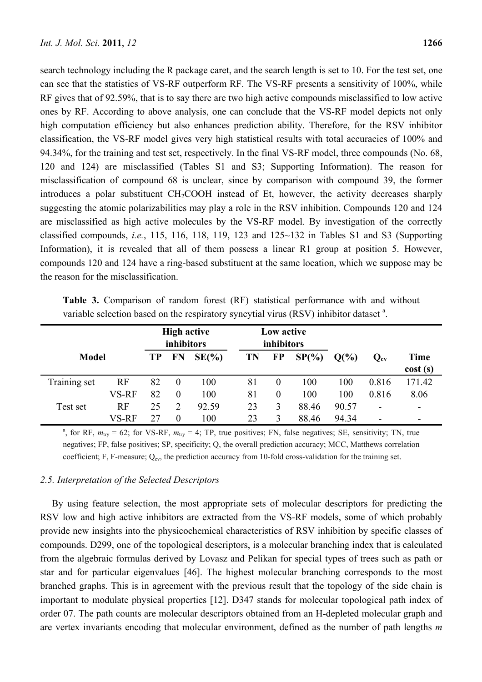search technology including the R package caret, and the search length is set to 10. For the test set, one can see that the statistics of VS-RF outperform RF. The VS-RF presents a sensitivity of 100%, while RF gives that of 92.59%, that is to say there are two high active compounds misclassified to low active ones by RF. According to above analysis, one can conclude that the VS-RF model depicts not only high computation efficiency but also enhances prediction ability. Therefore, for the RSV inhibitor classification, the VS-RF model gives very high statistical results with total accuracies of 100% and 94.34%, for the training and test set, respectively. In the final VS-RF model, three compounds (No. 68, 120 and 124) are misclassified (Tables S1 and S3; Supporting Information). The reason for misclassification of compound 68 is unclear, since by comparison with compound 39, the former introduces a polar substituent  $CH<sub>2</sub>COOH$  instead of Et, however, the activity decreases sharply suggesting the atomic polarizabilities may play a role in the RSV inhibition. Compounds 120 and 124 are misclassified as high active molecules by the VS-RF model. By investigation of the correctly classified compounds, *i.e.*, 115, 116, 118, 119, 123 and 125~132 in Tables S1 and S3 (Supporting Information), it is revealed that all of them possess a linear R1 group at position 5. However, compounds 120 and 124 have a ring-based substituent at the same location, which we suppose may be the reason for the misclassification.

|              | variable sciection based on the respiratory syncytial virus (KSV) minibitor dataset. |                                  |                |          |                          |           |          |          |                          |                        |
|--------------|--------------------------------------------------------------------------------------|----------------------------------|----------------|----------|--------------------------|-----------|----------|----------|--------------------------|------------------------|
|              |                                                                                      | <b>High active</b><br>inhibitors |                |          | Low active<br>inhibitors |           |          |          |                          |                        |
| <b>Model</b> |                                                                                      | <b>TP</b>                        | FN             | $SE(\%)$ | <b>TN</b>                | <b>FP</b> | $SP(\%)$ | $Q(\% )$ | $Q_{\rm cv}$             | <b>Time</b><br>cost(s) |
| Training set | RF                                                                                   | 82                               | $\theta$       | 100      | 81                       | $\theta$  | 100      | 100      | 0.816                    | 171.42                 |
|              | VS-RF                                                                                | 82                               | $\Omega$       | 100      | 81                       | $\theta$  | 100      | 100      | 0.816                    | 8.06                   |
| Test set     | RF                                                                                   | 25                               | $\overline{2}$ | 92.59    | 23                       | 3         | 88.46    | 90.57    | -                        |                        |
|              | VS-RF                                                                                | 27                               | $\theta$       | 100      | 23                       | 3         | 88.46    | 94.34    | $\overline{\phantom{0}}$ |                        |

**Table 3.** Comparison of random forest (RF) statistical performance with and without variable selection based on the respiratory syncytial virus  $(RSV)$  inhibitor dataset  $a$ .

<sup>a</sup>, for RF,  $m_{\text{try}} = 62$ ; for VS-RF,  $m_{\text{try}} = 4$ ; TP, true positives; FN, false negatives; SE, sensitivity; TN, true negatives; FP, false positives; SP, specificity; Q, the overall prediction accuracy; MCC, Matthews correlation coefficient; F, F-measure;  $Q_{\text{cv}}$ , the prediction accuracy from 10-fold cross-validation for the training set.

## *2.5. Interpretation of the Selected Descriptors*

By using feature selection, the most appropriate sets of molecular descriptors for predicting the RSV low and high active inhibitors are extracted from the VS-RF models, some of which probably provide new insights into the physicochemical characteristics of RSV inhibition by specific classes of compounds. D299, one of the topological descriptors, is a molecular branching index that is calculated from the algebraic formulas derived by Lovasz and Pelikan for special types of trees such as path or star and for particular eigenvalues [46]. The highest molecular branching corresponds to the most branched graphs. This is in agreement with the previous result that the topology of the side chain is important to modulate physical properties [12]. D347 stands for molecular topological path index of order 07. The path counts are molecular descriptors obtained from an H-depleted molecular graph and are vertex invariants encoding that molecular environment, defined as the number of path lengths *m*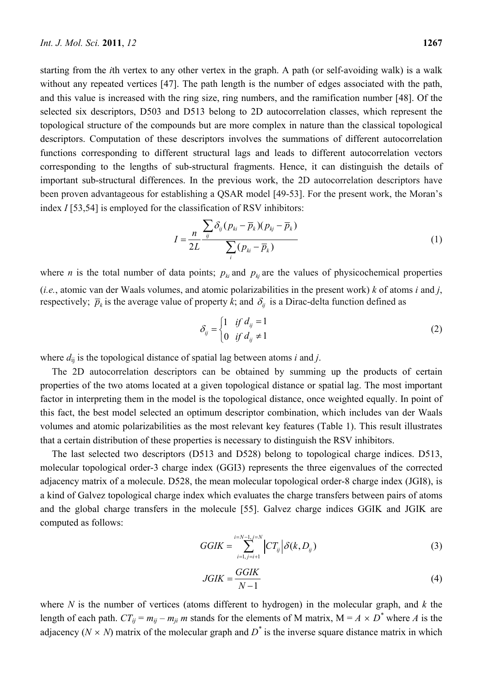starting from the *i*th vertex to any other vertex in the graph. A path (or self-avoiding walk) is a walk without any repeated vertices [47]. The path length is the number of edges associated with the path, and this value is increased with the ring size, ring numbers, and the ramification number [48]. Of the selected six descriptors, D503 and D513 belong to 2D autocorrelation classes, which represent the topological structure of the compounds but are more complex in nature than the classical topological descriptors. Computation of these descriptors involves the summations of different autocorrelation functions corresponding to different structural lags and leads to different autocorrelation vectors corresponding to the lengths of sub-structural fragments. Hence, it can distinguish the details of important sub-structural differences. In the previous work, the 2D autocorrelation descriptors have been proven advantageous for establishing a QSAR model [49-53]. For the present work, the Moran's index *I* [53,54] is employed for the classification of RSV inhibitors:

$$
I = \frac{n}{2L} \frac{\sum_{ij} \delta_{ij} (p_{ki} - \overline{p}_k)(p_{kj} - \overline{p}_k)}{\sum_{i} (p_{ki} - \overline{p}_k)}
$$
(1)

where *n* is the total number of data points;  $p_{ki}$  and  $p_{ki}$  are the values of physicochemical properties (*i.e.*, atomic van der Waals volumes, and atomic polarizabilities in the present work) *k* of atoms *i* and *j*, respectively;  $\bar{p}_k$  is the average value of property *k*; and  $\delta_{ij}$  is a Dirac-delta function defined as

$$
\delta_{ij} = \begin{cases} 1 & \text{if } d_{ij} = 1 \\ 0 & \text{if } d_{ij} \neq 1 \end{cases}
$$
 (2)

where  $d_{ij}$  is the topological distance of spatial lag between atoms *i* and *j*.

The 2D autocorrelation descriptors can be obtained by summing up the products of certain properties of the two atoms located at a given topological distance or spatial lag. The most important factor in interpreting them in the model is the topological distance, once weighted equally. In point of this fact, the best model selected an optimum descriptor combination, which includes van der Waals volumes and atomic polarizabilities as the most relevant key features (Table 1). This result illustrates that a certain distribution of these properties is necessary to distinguish the RSV inhibitors.

The last selected two descriptors (D513 and D528) belong to topological charge indices. D513, molecular topological order-3 charge index (GGI3) represents the three eigenvalues of the corrected adjacency matrix of a molecule. D528, the mean molecular topological order-8 charge index (JGI8), is a kind of Galvez topological charge index which evaluates the charge transfers between pairs of atoms and the global charge transfers in the molecule [55]. Galvez charge indices GGIK and JGIK are computed as follows:

$$
GGIK = \sum_{i=1, j=i+1}^{i=N-1, j=N} \left| CT_{ij} \right| \delta(k, D_{ij}) \tag{3}
$$

$$
JGIK = \frac{GGIK}{N-1} \tag{4}
$$

where *N* is the number of vertices (atoms different to hydrogen) in the molecular graph, and *k* the length of each path.  $CT_{ij} = m_{ij} - m_{ji}$  *m* stands for the elements of M matrix,  $M = A \times D^*$  where *A* is the adjacency ( $N \times N$ ) matrix of the molecular graph and  $D^*$  is the inverse square distance matrix in which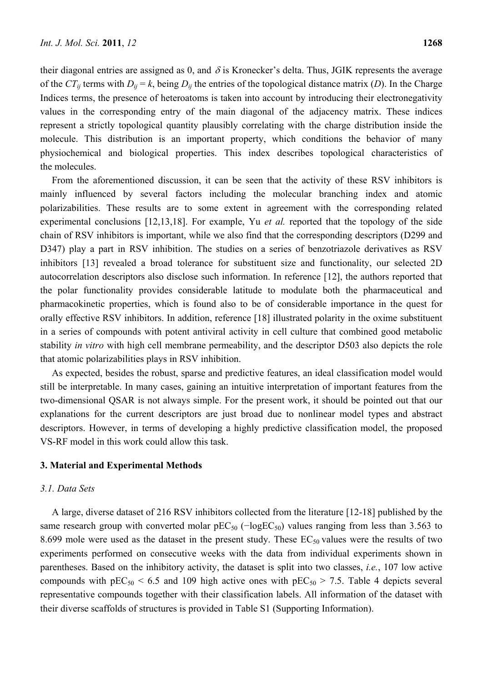their diagonal entries are assigned as 0, and  $\delta$  is Kronecker's delta. Thus, JGIK represents the average of the  $CT_{ii}$  terms with  $D_{ii} = k$ , being  $D_{ii}$  the entries of the topological distance matrix (*D*). In the Charge Indices terms, the presence of heteroatoms is taken into account by introducing their electronegativity values in the corresponding entry of the main diagonal of the adjacency matrix. These indices represent a strictly topological quantity plausibly correlating with the charge distribution inside the molecule. This distribution is an important property, which conditions the behavior of many physiochemical and biological properties. This index describes topological characteristics of the molecules.

From the aforementioned discussion, it can be seen that the activity of these RSV inhibitors is mainly influenced by several factors including the molecular branching index and atomic polarizabilities. These results are to some extent in agreement with the corresponding related experimental conclusions [12,13,18]. For example, Yu *et al.* reported that the topology of the side chain of RSV inhibitors is important, while we also find that the corresponding descriptors (D299 and D347) play a part in RSV inhibition. The studies on a series of benzotriazole derivatives as RSV inhibitors [13] revealed a broad tolerance for substituent size and functionality, our selected 2D autocorrelation descriptors also disclose such information. In reference [12], the authors reported that the polar functionality provides considerable latitude to modulate both the pharmaceutical and pharmacokinetic properties, which is found also to be of considerable importance in the quest for orally effective RSV inhibitors. In addition, reference [18] illustrated polarity in the oxime substituent in a series of compounds with potent antiviral activity in cell culture that combined good metabolic stability *in vitro* with high cell membrane permeability, and the descriptor D503 also depicts the role that atomic polarizabilities plays in RSV inhibition.

As expected, besides the robust, sparse and predictive features, an ideal classification model would still be interpretable. In many cases, gaining an intuitive interpretation of important features from the two-dimensional QSAR is not always simple. For the present work, it should be pointed out that our explanations for the current descriptors are just broad due to nonlinear model types and abstract descriptors. However, in terms of developing a highly predictive classification model, the proposed VS-RF model in this work could allow this task.

#### **3. Material and Experimental Methods**

#### *3.1. Data Sets*

A large, diverse dataset of 216 RSV inhibitors collected from the literature [12-18] published by the same research group with converted molar  $pEC_{50}$  ( $-\log EC_{50}$ ) values ranging from less than 3.563 to 8.699 mole were used as the dataset in the present study. These  $EC_{50}$  values were the results of two experiments performed on consecutive weeks with the data from individual experiments shown in parentheses. Based on the inhibitory activity, the dataset is split into two classes, *i.e.*, 107 low active compounds with  $pEC_{50}$  < 6.5 and 109 high active ones with  $pEC_{50}$  > 7.5. Table 4 depicts several representative compounds together with their classification labels. All information of the dataset with their diverse scaffolds of structures is provided in Table S1 (Supporting Information).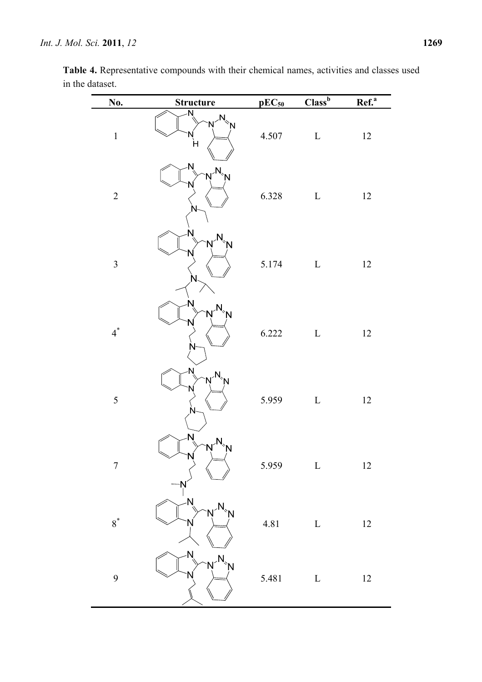| No.            | <b>Structure</b>                     | $pEC_{50}$ | $\overline{\text{Class}^{\text{b}}}$ | Ref. <sup>a</sup> |
|----------------|--------------------------------------|------------|--------------------------------------|-------------------|
| $\mathbf 1$    | Ñ<br>$M_{\text{on}}$<br>Ń<br>'N<br>H | 4.507      | $\mathbf L$                          | $12\,$            |
| $\overline{c}$ | $N^2$ <sub>N</sub>                   | 6.328      | $\mathbf L$                          | 12                |
| $\mathfrak{Z}$ | $N^2N$                               | 5.174      | $\mathbf L$                          | 12                |
| $4^*$          | √<br>N<br>Ń                          | 6.222      | $\mathbf L$                          | $12\,$            |
| 5              | $N^N$                                | 5.959      | $\mathbf L$                          | $12\,$            |
| $\sqrt{ }$     | Ń<br>Ņ<br>Ń<br>Ņ                     | 5.959      | $\mathbf L$                          | $12\,$            |
| $8^*$          | N<br>N                               | 4.81       | $\mathbf L$                          | $12\,$            |
| 9              | Ń<br>'N                              | 5.481      | $\mathbf L$                          | $12\,$            |

**Table 4.** Representative compounds with their chemical names, activities and classes used in the dataset.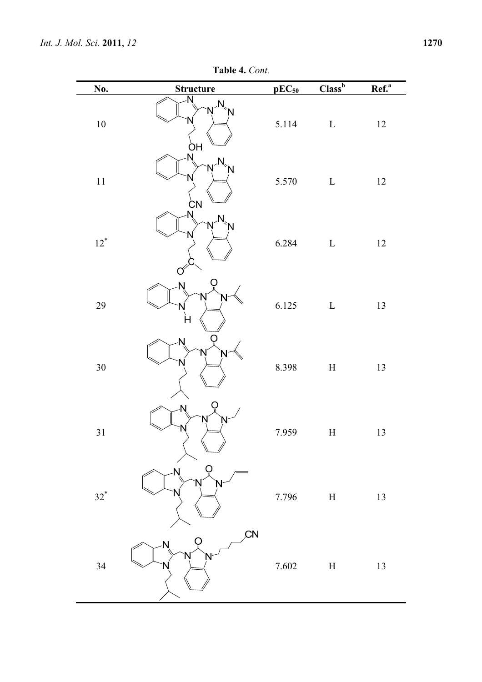**Table 4.** *Cont.* 

| No.    | <b>Structure</b>                   | $pEC_{50}$ | $Class^b$                 | $Ref.a$ |
|--------|------------------------------------|------------|---------------------------|---------|
| $10\,$ | N<br>$M_{\rm B}$<br>Ń<br><b>OH</b> | 5.114      | $\mathbf L$               | 12      |
| $11\,$ | N<br>Ń<br>Ń<br>N<br><b>CΝ</b>      | 5.570      | $\mathbf L$               | 12      |
| $12^*$ | N<br>$N^N$<br>'N                   | 6.284      | $\mathbf L$               | 12      |
| 29     | Ń<br>'N<br>N<br>H                  | 6.125      | $\mathbf L$               | 13      |
| 30     | N<br>Ń<br>N                        | 8.398      | $\boldsymbol{\mathrm{H}}$ | 13      |
| $31\,$ | N<br>Ń<br>Ń                        | 7.959      | $\boldsymbol{\mathrm{H}}$ | 13      |
| $32^*$ | N                                  | 7.796      | $\boldsymbol{\mathrm{H}}$ | 13      |
| 34     | CN<br>N<br>N                       | 7.602      | $\boldsymbol{\mathrm{H}}$ | 13      |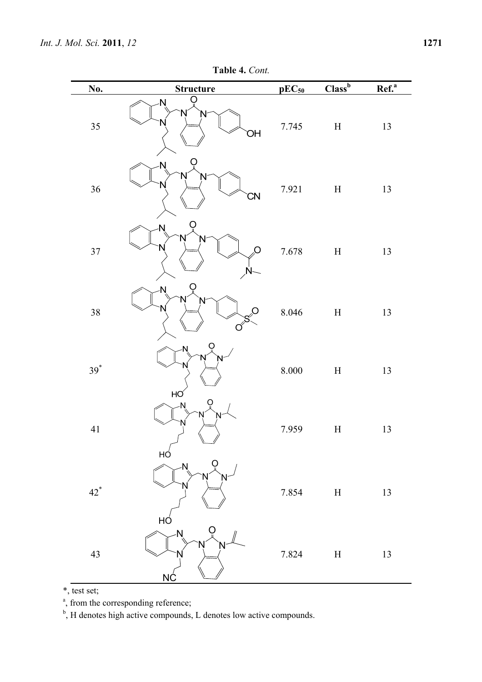# **Table 4.** *Cont.*

| No.    | <b>Structure</b>            | $pEC_{50}$ | Class <sup>b</sup>        | Ref. <sup>a</sup> |
|--------|-----------------------------|------------|---------------------------|-------------------|
| 35     | N<br>Ņ<br>⇃<br>ЮŃ           | 7.745      | $\boldsymbol{\mathrm{H}}$ | 13                |
| 36     | N<br>Ņ<br><b>CN</b>         | 7.921      | $\boldsymbol{\mathrm{H}}$ | 13                |
| $37\,$ | Ń<br>N<br>O<br>$\sqrt{N}$   | 7.678      | $\boldsymbol{\mathrm{H}}$ | 13                |
| 38     | N<br>N<br>Ö<br>$\sigma^{S}$ | 8.046      | $\boldsymbol{\mathrm{H}}$ | 13                |
| $39^*$ | O<br>N<br>HO                | $8.000\,$  | $\boldsymbol{\mathrm{H}}$ | 13                |
| $41\,$ | N<br>N<br>HÓ                | 7.959      | $\boldsymbol{\mathrm{H}}$ | 13                |
| $42^*$ | N<br>HÓ                     | 7.854      | $\boldsymbol{\mathrm{H}}$ | 13                |
| 43     | <b>N</b><br><u>NĆ</u>       | 7.824      | $\boldsymbol{\mathrm{H}}$ | 13                |

\*, test set;

<sup>a</sup>, from the corresponding reference;

<sup>b</sup>, H denotes high active compounds, L denotes low active compounds.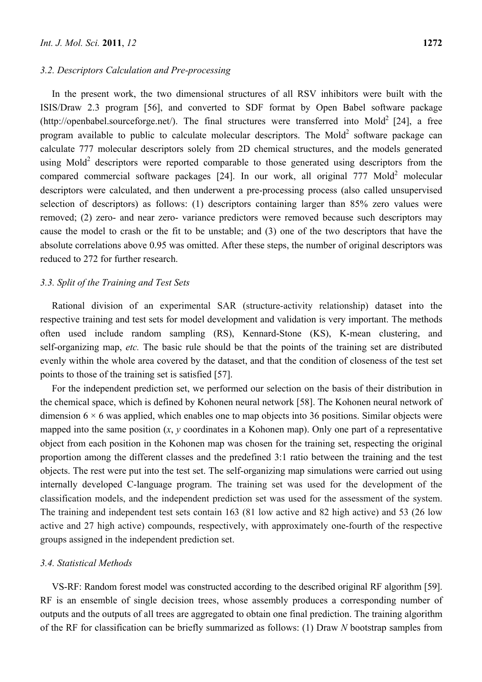#### *3.2. Descriptors Calculation and Pre-processing*

In the present work, the two dimensional structures of all RSV inhibitors were built with the ISIS/Draw 2.3 program [56], and converted to SDF format by Open Babel software package (http://openbabel.sourceforge.net/). The final structures were transferred into Mold<sup>2</sup> [24], a free program available to public to calculate molecular descriptors. The Mold<sup>2</sup> software package can calculate 777 molecular descriptors solely from 2D chemical structures, and the models generated using Mold<sup>2</sup> descriptors were reported comparable to those generated using descriptors from the compared commercial software packages  $[24]$ . In our work, all original 777 Mold<sup>2</sup> molecular descriptors were calculated, and then underwent a pre-processing process (also called unsupervised selection of descriptors) as follows: (1) descriptors containing larger than 85% zero values were removed; (2) zero- and near zero- variance predictors were removed because such descriptors may cause the model to crash or the fit to be unstable; and (3) one of the two descriptors that have the absolute correlations above 0.95 was omitted. After these steps, the number of original descriptors was reduced to 272 for further research.

## *3.3. Split of the Training and Test Sets*

Rational division of an experimental SAR (structure-activity relationship) dataset into the respective training and test sets for model development and validation is very important. The methods often used include random sampling (RS), Kennard-Stone (KS), K-mean clustering, and self-organizing map, *etc.* The basic rule should be that the points of the training set are distributed evenly within the whole area covered by the dataset, and that the condition of closeness of the test set points to those of the training set is satisfied [57].

For the independent prediction set, we performed our selection on the basis of their distribution in the chemical space, which is defined by Kohonen neural network [58]. The Kohonen neural network of dimension  $6 \times 6$  was applied, which enables one to map objects into 36 positions. Similar objects were mapped into the same position  $(x, y$  coordinates in a Kohonen map). Only one part of a representative object from each position in the Kohonen map was chosen for the training set, respecting the original proportion among the different classes and the predefined 3:1 ratio between the training and the test objects. The rest were put into the test set. The self-organizing map simulations were carried out using internally developed C-language program. The training set was used for the development of the classification models, and the independent prediction set was used for the assessment of the system. The training and independent test sets contain 163 (81 low active and 82 high active) and 53 (26 low active and 27 high active) compounds, respectively, with approximately one-fourth of the respective groups assigned in the independent prediction set.

## *3.4. Statistical Methods*

VS-RF: Random forest model was constructed according to the described original RF algorithm [59]. RF is an ensemble of single decision trees, whose assembly produces a corresponding number of outputs and the outputs of all trees are aggregated to obtain one final prediction. The training algorithm of the RF for classification can be briefly summarized as follows: (1) Draw *N* bootstrap samples from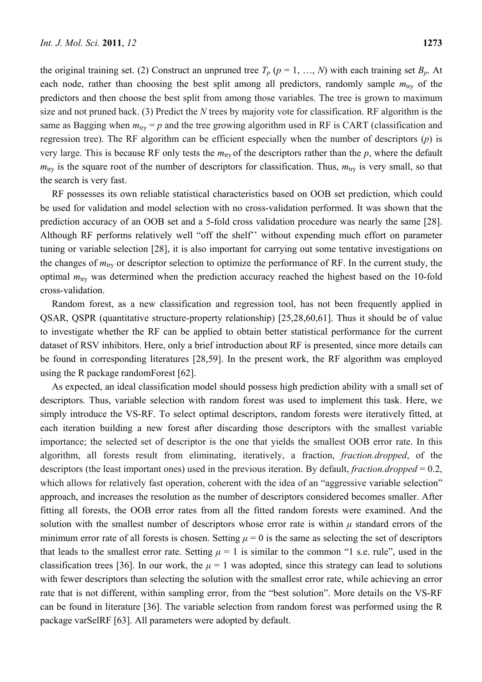the original training set. (2) Construct an unpruned tree  $T_p$  ( $p = 1, ..., N$ ) with each training set  $B_p$ . At each node, rather than choosing the best split among all predictors, randomly sample  $m_{\text{trv}}$  of the predictors and then choose the best split from among those variables. The tree is grown to maximum size and not pruned back. (3) Predict the *N* trees by majority vote for classification. RF algorithm is the same as Bagging when  $m_{\text{try}} = p$  and the tree growing algorithm used in RF is CART (classification and regression tree). The RF algorithm can be efficient especially when the number of descriptors (*p*) is very large. This is because RF only tests the  $m_{\text{try}}$  of the descriptors rather than the  $p$ , where the default  $m_{\text{try}}$  is the square root of the number of descriptors for classification. Thus,  $m_{\text{try}}$  is very small, so that the search is very fast.

RF possesses its own reliable statistical characteristics based on OOB set prediction, which could be used for validation and model selection with no cross-validation performed. It was shown that the prediction accuracy of an OOB set and a 5-fold cross validation procedure was nearly the same [28]. Although RF performs relatively well "off the shelf'' without expending much effort on parameter tuning or variable selection [28], it is also important for carrying out some tentative investigations on the changes of *m*try or descriptor selection to optimize the performance of RF. In the current study, the optimal  $m_{\text{try}}$  was determined when the prediction accuracy reached the highest based on the 10-fold cross-validation.

Random forest, as a new classification and regression tool, has not been frequently applied in QSAR, QSPR (quantitative structure-property relationship) [25,28,60,61]. Thus it should be of value to investigate whether the RF can be applied to obtain better statistical performance for the current dataset of RSV inhibitors. Here, only a brief introduction about RF is presented, since more details can be found in corresponding literatures [28,59]. In the present work, the RF algorithm was employed using the R package randomForest [62].

As expected, an ideal classification model should possess high prediction ability with a small set of descriptors. Thus, variable selection with random forest was used to implement this task. Here, we simply introduce the VS-RF. To select optimal descriptors, random forests were iteratively fitted, at each iteration building a new forest after discarding those descriptors with the smallest variable importance; the selected set of descriptor is the one that yields the smallest OOB error rate. In this algorithm, all forests result from eliminating, iteratively, a fraction, *fraction.dropped*, of the descriptors (the least important ones) used in the previous iteration. By default, *fraction.dropped* = 0.2, which allows for relatively fast operation, coherent with the idea of an "aggressive variable selection" approach, and increases the resolution as the number of descriptors considered becomes smaller. After fitting all forests, the OOB error rates from all the fitted random forests were examined. And the solution with the smallest number of descriptors whose error rate is within *μ* standard errors of the minimum error rate of all forests is chosen. Setting  $\mu = 0$  is the same as selecting the set of descriptors that leads to the smallest error rate. Setting  $\mu = 1$  is similar to the common "1 s.e. rule", used in the classification trees [36]. In our work, the  $\mu = 1$  was adopted, since this strategy can lead to solutions with fewer descriptors than selecting the solution with the smallest error rate, while achieving an error rate that is not different, within sampling error, from the "best solution". More details on the VS-RF can be found in literature [36]. The variable selection from random forest was performed using the R package varSelRF [63]. All parameters were adopted by default.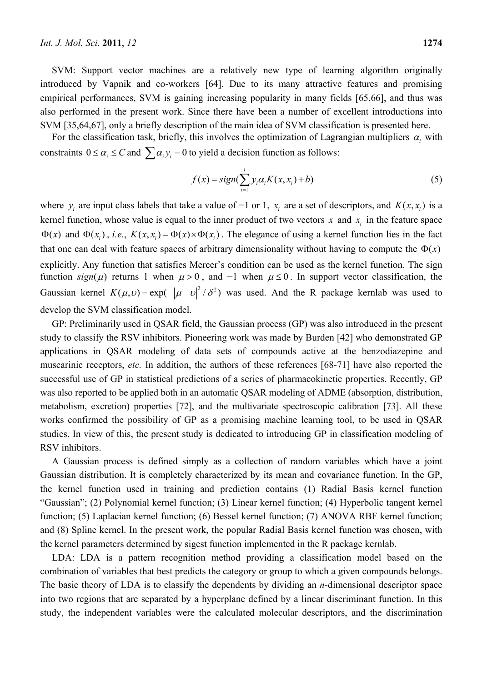SVM: Support vector machines are a relatively new type of learning algorithm originally introduced by Vapnik and co-workers [64]. Due to its many attractive features and promising empirical performances, SVM is gaining increasing popularity in many fields [65,66], and thus was also performed in the present work. Since there have been a number of excellent introductions into SVM [35,64,67], only a briefly description of the main idea of SVM classification is presented here.

For the classification task, briefly, this involves the optimization of Lagrangian multipliers  $\alpha_i$  with constraints  $0 \le \alpha_i \le C$  and  $\sum \alpha_i y_i = 0$  to yield a decision function as follows:

$$
f(x) = sign(\sum_{i=1}^{l} y_i \alpha_i K(x, x_i) + b)
$$
\n(5)

where  $y_i$  are input class labels that take a value of -1 or 1,  $x_i$  are a set of descriptors, and  $K(x, x_i)$  is a kernel function, whose value is equal to the inner product of two vectors  $x$  and  $x_i$  in the feature space  $\Phi(x)$  and  $\Phi(x_i)$ , *i.e.*,  $K(x, x_i) = \Phi(x) \times \Phi(x_i)$ . The elegance of using a kernel function lies in the fact that one can deal with feature spaces of arbitrary dimensionality without having to compute the  $\Phi(x)$ explicitly. Any function that satisfies Mercer's condition can be used as the kernel function. The sign function  $sign(\mu)$  returns 1 when  $\mu > 0$ , and -1 when  $\mu \le 0$ . In support vector classification, the Gaussian kernel  $K(\mu, v) = \exp(-|\mu - v|^2 / \delta^2)$  was used. And the R package kernlab was used to develop the SVM classification model.

GP: Preliminarily used in QSAR field, the Gaussian process (GP) was also introduced in the present study to classify the RSV inhibitors. Pioneering work was made by Burden [42] who demonstrated GP applications in QSAR modeling of data sets of compounds active at the benzodiazepine and muscarinic receptors, *etc.* In addition, the authors of these references [68-71] have also reported the successful use of GP in statistical predictions of a series of pharmacokinetic properties. Recently, GP was also reported to be applied both in an automatic QSAR modeling of ADME (absorption, distribution, metabolism, excretion) properties [72], and the multivariate spectroscopic calibration [73]. All these works confirmed the possibility of GP as a promising machine learning tool, to be used in QSAR studies. In view of this, the present study is dedicated to introducing GP in classification modeling of RSV inhibitors.

A Gaussian process is defined simply as a collection of random variables which have a joint Gaussian distribution. It is completely characterized by its mean and covariance function. In the GP, the kernel function used in training and prediction contains (1) Radial Basis kernel function "Gaussian"; (2) Polynomial kernel function; (3) Linear kernel function; (4) Hyperbolic tangent kernel function; (5) Laplacian kernel function; (6) Bessel kernel function; (7) ANOVA RBF kernel function; and (8) Spline kernel. In the present work, the popular Radial Basis kernel function was chosen, with the kernel parameters determined by sigest function implemented in the R package kernlab.

LDA: LDA is a pattern recognition method providing a classification model based on the combination of variables that best predicts the category or group to which a given compounds belongs. The basic theory of LDA is to classify the dependents by dividing an *n*-dimensional descriptor space into two regions that are separated by a hyperplane defined by a linear discriminant function. In this study, the independent variables were the calculated molecular descriptors, and the discrimination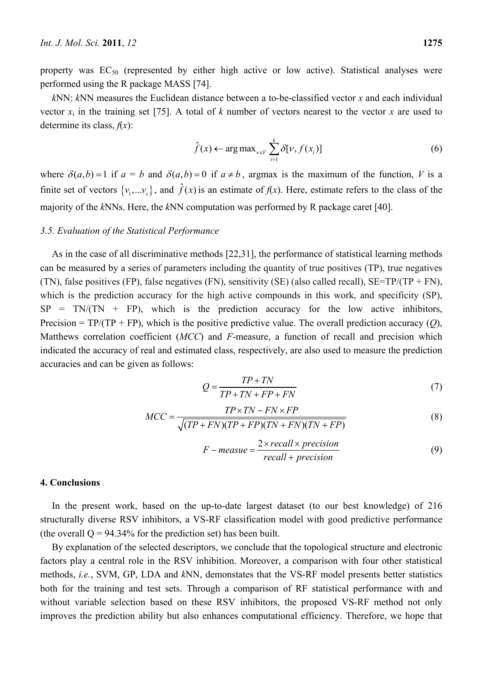property was  $EC_{50}$  (represented by either high active or low active). Statistical analyses were performed using the R package MASS [74].

*k*NN: *k*NN measures the Euclidean distance between a to-be-classified vector *x* and each individual vector  $x_i$  in the training set [75]. A total of *k* number of vectors nearest to the vector *x* are used to determine its class,  $f(x)$ :

$$
\hat{f}(x) \leftarrow \arg \max_{v \in V} \sum_{i=1}^{k} \delta[v, f(x_i)] \tag{6}
$$

where  $\delta(a,b) = 1$  if  $a = b$  and  $\delta(a,b) = 0$  if  $a \neq b$ , argmax is the maximum of the function, *V* is a finite set of vectors  $\{v_1,...v_s\}$ , and  $\hat{f}(x)$  is an estimate of  $f(x)$ . Here, estimate refers to the class of the majority of the *k*NNs. Here, the *k*NN computation was performed by R package caret [40].

#### *3.5. Evaluation of the Statistical Performance*

As in the case of all discriminative methods [22,31], the performance of statistical learning methods can be measured by a series of parameters including the quantity of true positives (TP), true negatives (TN), false positives (FP), false negatives (FN), sensitivity (SE) (also called recall),  $SE=TP/(TP + FN)$ , which is the prediction accuracy for the high active compounds in this work, and specificity (SP),  $SP = TN/(TN + FP)$ , which is the prediction accuracy for the low active inhibitors, Precision = TP/(TP + FP), which is the positive predictive value. The overall prediction accuracy (*Q*), Matthews correlation coefficient (*MCC*) and *F*-measure, a function of recall and precision which indicated the accuracy of real and estimated class, respectively, are also used to measure the prediction accuracies and can be given as follows:

$$
Q = \frac{TP + TN}{TP + TN + FP + FN}
$$
\n<sup>(7)</sup>

$$
MCC = \frac{TP \times TN - FN \times FP}{\sqrt{(TP + FN)(TP + FP)(TN + FN)(TN + FP)}}
$$
(8)

$$
F-measure = \frac{2 \times recall \times precision}{recall + precision}
$$
 (9)

## **4. Conclusions**

In the present work, based on the up-to-date largest dataset (to our best knowledge) of 216 structurally diverse RSV inhibitors, a VS-RF classification model with good predictive performance (the overall  $Q = 94.34\%$  for the prediction set) has been built.

By explanation of the selected descriptors, we conclude that the topological structure and electronic factors play a central role in the RSV inhibition. Moreover, a comparison with four other statistical methods, *i.e.*, SVM, GP, LDA and *k*NN, demonstates that the VS-RF model presents better statistics both for the training and test sets. Through a comparison of RF statistical performance with and without variable selection based on these RSV inhibitors, the proposed VS-RF method not only improves the prediction ability but also enhances computational efficiency. Therefore, we hope that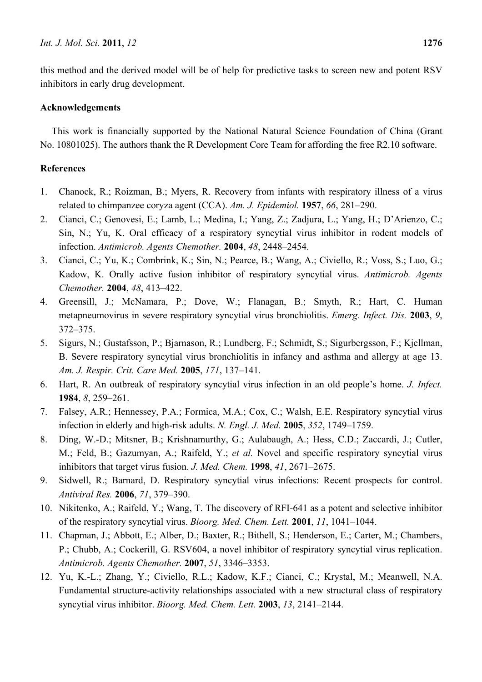# **Acknowledgements**

This work is financially supported by the National Natural Science Foundation of China (Grant No. 10801025). The authors thank the R Development Core Team for affording the free R2.10 software.

# **References**

- 1. Chanock, R.; Roizman, B.; Myers, R. Recovery from infants with respiratory illness of a virus related to chimpanzee coryza agent (CCA). *Am. J. Epidemiol.* **1957**, *66*, 281–290.
- 2. Cianci, C.; Genovesi, E.; Lamb, L.; Medina, I.; Yang, Z.; Zadjura, L.; Yang, H.; D'Arienzo, C.; Sin, N.; Yu, K. Oral efficacy of a respiratory syncytial virus inhibitor in rodent models of infection. *Antimicrob. Agents Chemother.* **2004**, *48*, 2448–2454.
- 3. Cianci, C.; Yu, K.; Combrink, K.; Sin, N.; Pearce, B.; Wang, A.; Civiello, R.; Voss, S.; Luo, G.; Kadow, K. Orally active fusion inhibitor of respiratory syncytial virus. *Antimicrob. Agents Chemother.* **2004**, *48*, 413–422.
- 4. Greensill, J.; McNamara, P.; Dove, W.; Flanagan, B.; Smyth, R.; Hart, C. Human metapneumovirus in severe respiratory syncytial virus bronchiolitis. *Emerg. Infect. Dis.* **2003**, *9*, 372–375.
- 5. Sigurs, N.; Gustafsson, P.; Bjarnason, R.; Lundberg, F.; Schmidt, S.; Sigurbergsson, F.; Kjellman, B. Severe respiratory syncytial virus bronchiolitis in infancy and asthma and allergy at age 13. *Am. J. Respir. Crit. Care Med.* **2005**, *171*, 137–141.
- 6. Hart, R. An outbreak of respiratory syncytial virus infection in an old people's home. *J. Infect.*  **1984**, *8*, 259–261.
- 7. Falsey, A.R.; Hennessey, P.A.; Formica, M.A.; Cox, C.; Walsh, E.E. Respiratory syncytial virus infection in elderly and high-risk adults. *N. Engl. J. Med.* **2005**, *352*, 1749–1759.
- 8. Ding, W.-D.; Mitsner, B.; Krishnamurthy, G.; Aulabaugh, A.; Hess, C.D.; Zaccardi, J.; Cutler, M.; Feld, B.; Gazumyan, A.; Raifeld, Y.; *et al.* Novel and specific respiratory syncytial virus inhibitors that target virus fusion. *J. Med. Chem.* **1998**, *41*, 2671–2675.
- 9. Sidwell, R.; Barnard, D. Respiratory syncytial virus infections: Recent prospects for control. *Antiviral Res.* **2006**, *71*, 379–390.
- 10. Nikitenko, A.; Raifeld, Y.; Wang, T. The discovery of RFI-641 as a potent and selective inhibitor of the respiratory syncytial virus. *Bioorg. Med. Chem. Lett.* **2001**, *11*, 1041–1044.
- 11. Chapman, J.; Abbott, E.; Alber, D.; Baxter, R.; Bithell, S.; Henderson, E.; Carter, M.; Chambers, P.; Chubb, A.; Cockerill, G. RSV604, a novel inhibitor of respiratory syncytial virus replication. *Antimicrob. Agents Chemother.* **2007**, *51*, 3346–3353.
- 12. Yu, K.-L.; Zhang, Y.; Civiello, R.L.; Kadow, K.F.; Cianci, C.; Krystal, M.; Meanwell, N.A. Fundamental structure-activity relationships associated with a new structural class of respiratory syncytial virus inhibitor. *Bioorg. Med. Chem. Lett.* **2003**, *13*, 2141–2144.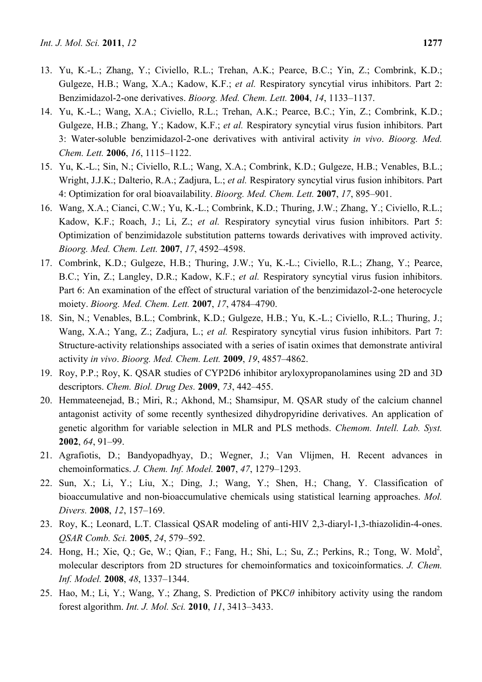- 13. Yu, K.-L.; Zhang, Y.; Civiello, R.L.; Trehan, A.K.; Pearce, B.C.; Yin, Z.; Combrink, K.D.; Gulgeze, H.B.; Wang, X.A.; Kadow, K.F.; *et al.* Respiratory syncytial virus inhibitors. Part 2: Benzimidazol-2-one derivatives. *Bioorg. Med. Chem. Lett.* **2004**, *14*, 1133–1137.
- 14. Yu, K.-L.; Wang, X.A.; Civiello, R.L.; Trehan, A.K.; Pearce, B.C.; Yin, Z.; Combrink, K.D.; Gulgeze, H.B.; Zhang, Y.; Kadow, K.F.; *et al.* Respiratory syncytial virus fusion inhibitors. Part 3: Water-soluble benzimidazol-2-one derivatives with antiviral activity *in vivo*. *Bioorg. Med. Chem. Lett.* **2006**, *16*, 1115–1122.
- 15. Yu, K.-L.; Sin, N.; Civiello, R.L.; Wang, X.A.; Combrink, K.D.; Gulgeze, H.B.; Venables, B.L.; Wright, J.J.K.; Dalterio, R.A.; Zadjura, L.; *et al.* Respiratory syncytial virus fusion inhibitors. Part 4: Optimization for oral bioavailability. *Bioorg. Med. Chem. Lett.* **2007**, *17*, 895–901.
- 16. Wang, X.A.; Cianci, C.W.; Yu, K.-L.; Combrink, K.D.; Thuring, J.W.; Zhang, Y.; Civiello, R.L.; Kadow, K.F.; Roach, J.; Li, Z.; *et al.* Respiratory syncytial virus fusion inhibitors. Part 5: Optimization of benzimidazole substitution patterns towards derivatives with improved activity. *Bioorg. Med. Chem. Lett.* **2007**, *17*, 4592–4598.
- 17. Combrink, K.D.; Gulgeze, H.B.; Thuring, J.W.; Yu, K.-L.; Civiello, R.L.; Zhang, Y.; Pearce, B.C.; Yin, Z.; Langley, D.R.; Kadow, K.F.; *et al.* Respiratory syncytial virus fusion inhibitors. Part 6: An examination of the effect of structural variation of the benzimidazol-2-one heterocycle moiety. *Bioorg. Med. Chem. Lett.* **2007**, *17*, 4784–4790.
- 18. Sin, N.; Venables, B.L.; Combrink, K.D.; Gulgeze, H.B.; Yu, K.-L.; Civiello, R.L.; Thuring, J.; Wang, X.A.; Yang, Z.; Zadjura, L.; *et al.* Respiratory syncytial virus fusion inhibitors. Part 7: Structure-activity relationships associated with a series of isatin oximes that demonstrate antiviral activity *in vivo*. *Bioorg. Med. Chem. Lett.* **2009**, *19*, 4857–4862.
- 19. Roy, P.P.; Roy, K. QSAR studies of CYP2D6 inhibitor aryloxypropanolamines using 2D and 3D descriptors. *Chem. Biol. Drug Des.* **2009**, *73*, 442–455.
- 20. Hemmateenejad, B.; Miri, R.; Akhond, M.; Shamsipur, M. QSAR study of the calcium channel antagonist activity of some recently synthesized dihydropyridine derivatives. An application of genetic algorithm for variable selection in MLR and PLS methods. *Chemom. Intell. Lab. Syst.*  **2002**, *64*, 91–99.
- 21. Agrafiotis, D.; Bandyopadhyay, D.; Wegner, J.; Van Vlijmen, H. Recent advances in chemoinformatics. *J. Chem. Inf. Model.* **2007**, *47*, 1279–1293.
- 22. Sun, X.; Li, Y.; Liu, X.; Ding, J.; Wang, Y.; Shen, H.; Chang, Y. Classification of bioaccumulative and non-bioaccumulative chemicals using statistical learning approaches. *Mol. Divers.* **2008**, *12*, 157–169.
- 23. Roy, K.; Leonard, L.T. Classical QSAR modeling of anti-HIV 2,3-diaryl-1,3-thiazolidin-4-ones. *QSAR Comb. Sci.* **2005**, *24*, 579–592.
- 24. Hong, H.; Xie, Q.; Ge, W.; Qian, F.; Fang, H.; Shi, L.; Su, Z.; Perkins, R.; Tong, W. Mold<sup>2</sup>, molecular descriptors from 2D structures for chemoinformatics and toxicoinformatics. *J. Chem. Inf. Model.* **2008**, *48*, 1337–1344.
- 25. Hao, M.; Li, Y.; Wang, Y.; Zhang, S. Prediction of PKC*θ* inhibitory activity using the random forest algorithm. *Int. J. Mol. Sci.* **2010**, *11*, 3413–3433.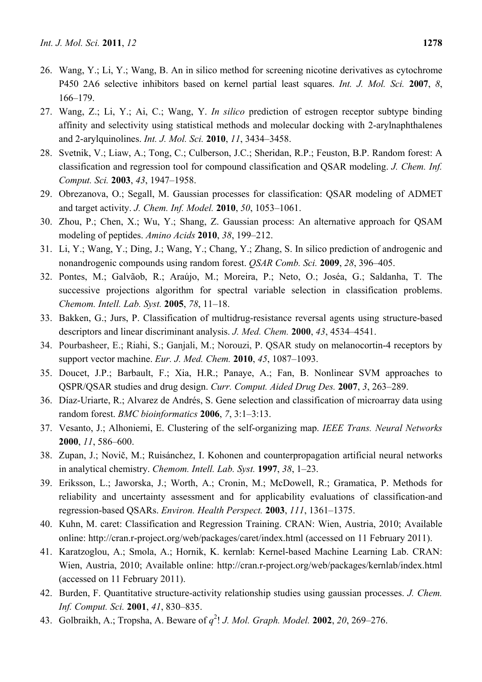- 26. Wang, Y.; Li, Y.; Wang, B. An in silico method for screening nicotine derivatives as cytochrome P450 2A6 selective inhibitors based on kernel partial least squares. *Int. J. Mol. Sci.* **2007**, *8*, 166–179.
- 27. Wang, Z.; Li, Y.; Ai, C.; Wang, Y. *In silico* prediction of estrogen receptor subtype binding affinity and selectivity using statistical methods and molecular docking with 2-arylnaphthalenes and 2-arylquinolines. *Int. J. Mol. Sci.* **2010**, *11*, 3434–3458.
- 28. Svetnik, V.; Liaw, A.; Tong, C.; Culberson, J.C.; Sheridan, R.P.; Feuston, B.P. Random forest: A classification and regression tool for compound classification and QSAR modeling. *J. Chem. Inf. Comput. Sci.* **2003**, *43*, 1947–1958.
- 29. Obrezanova, O.; Segall, M. Gaussian processes for classification: QSAR modeling of ADMET and target activity. *J. Chem. Inf. Model.* **2010**, *50*, 1053–1061.
- 30. Zhou, P.; Chen, X.; Wu, Y.; Shang, Z. Gaussian process: An alternative approach for QSAM modeling of peptides. *Amino Acids* **2010**, *38*, 199–212.
- 31. Li, Y.; Wang, Y.; Ding, J.; Wang, Y.; Chang, Y.; Zhang, S. In silico prediction of androgenic and nonandrogenic compounds using random forest. *QSAR Comb. Sci.* **2009**, *28*, 396–405.
- 32. Pontes, M.; Galvãob, R.; Araújo, M.; Moreira, P.; Neto, O.; Joséa, G.; Saldanha, T. The successive projections algorithm for spectral variable selection in classification problems. *Chemom. Intell. Lab. Syst.* **2005**, *78*, 11–18.
- 33. Bakken, G.; Jurs, P. Classification of multidrug-resistance reversal agents using structure-based descriptors and linear discriminant analysis. *J. Med. Chem.* **2000**, *43*, 4534–4541.
- 34. Pourbasheer, E.; Riahi, S.; Ganjali, M.; Norouzi, P. QSAR study on melanocortin-4 receptors by support vector machine. *Eur. J. Med. Chem.* **2010**, *45*, 1087–1093.
- 35. Doucet, J.P.; Barbault, F.; Xia, H.R.; Panaye, A.; Fan, B. Nonlinear SVM approaches to QSPR/QSAR studies and drug design. *Curr. Comput. Aided Drug Des.* **2007**, *3*, 263–289.
- 36. Díaz-Uriarte, R.; Alvarez de Andrés, S. Gene selection and classification of microarray data using random forest. *BMC bioinformatics* **2006**, *7*, 3:1–3:13.
- 37. Vesanto, J.; Alhoniemi, E. Clustering of the self-organizing map. *IEEE Trans. Neural Networks*  **2000**, *11*, 586–600.
- 38. Zupan, J.; Novič, M.; Ruisánchez, I. Kohonen and counterpropagation artificial neural networks in analytical chemistry. *Chemom. Intell. Lab. Syst.* **1997**, *38*, 1–23.
- 39. Eriksson, L.; Jaworska, J.; Worth, A.; Cronin, M.; McDowell, R.; Gramatica, P. Methods for reliability and uncertainty assessment and for applicability evaluations of classification-and regression-based QSARs. *Environ. Health Perspect.* **2003**, *111*, 1361–1375.
- 40. Kuhn, M. caret: Classification and Regression Training. CRAN: Wien, Austria, 2010; Available online: http://cran.r-project.org/web/packages/caret/index.html (accessed on 11 February 2011).
- 41. Karatzoglou, A.; Smola, A.; Hornik, K. kernlab: Kernel-based Machine Learning Lab. CRAN: Wien, Austria, 2010; Available online: http://cran.r-project.org/web/packages/kernlab/index.html (accessed on 11 February 2011).
- 42. Burden, F. Quantitative structure-activity relationship studies using gaussian processes. *J. Chem. Inf. Comput. Sci.* **2001**, *41*, 830–835.
- 43. Golbraikh, A.; Tropsha, A. Beware of *q* 2 ! *J. Mol. Graph. Model.* **2002**, *20*, 269–276.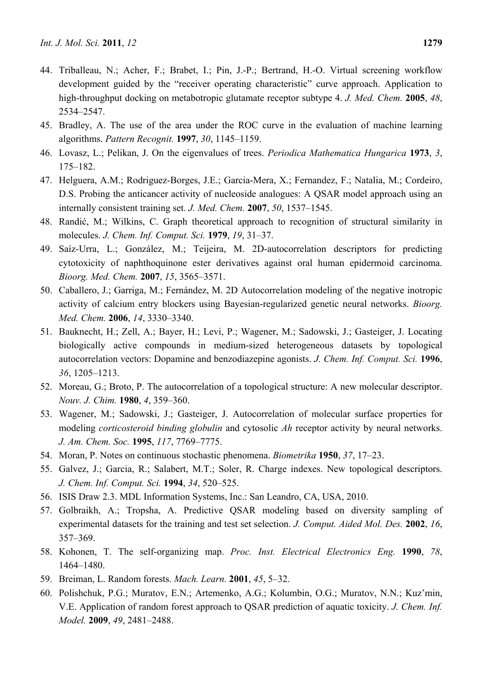- 44. Triballeau, N.; Acher, F.; Brabet, I.; Pin, J.-P.; Bertrand, H.-O. Virtual screening workflow development guided by the "receiver operating characteristic" curve approach. Application to high-throughput docking on metabotropic glutamate receptor subtype 4. *J. Med. Chem.* **2005**, *48*, 2534–2547.
- 45. Bradley, A. The use of the area under the ROC curve in the evaluation of machine learning algorithms. *Pattern Recognit.* **1997**, *30*, 1145–1159.
- 46. Lovasz, L.; Pelikan, J. On the eigenvalues of trees. *Periodica Mathematica Hungarica* **1973**, *3*, 175–182.
- 47. Helguera, A.M.; Rodriguez-Borges, J.E.; Garcia-Mera, X.; Fernandez, F.; Natalia, M.; Cordeiro, D.S. Probing the anticancer activity of nucleoside analogues: A QSAR model approach using an internally consistent training set. *J. Med. Chem.* **2007**, *50*, 1537–1545.
- 48. Randić, M.; Wilkins, C. Graph theoretical approach to recognition of structural similarity in molecules. *J. Chem. Inf. Comput. Sci.* **1979**, *19*, 31–37.
- 49. Saíz-Urra, L.; González, M.; Teijeira, M. 2D-autocorrelation descriptors for predicting cytotoxicity of naphthoquinone ester derivatives against oral human epidermoid carcinoma. *Bioorg. Med. Chem.* **2007**, *15*, 3565–3571.
- 50. Caballero, J.; Garriga, M.; Fernández, M. 2D Autocorrelation modeling of the negative inotropic activity of calcium entry blockers using Bayesian-regularized genetic neural networks. *Bioorg. Med. Chem.* **2006**, *14*, 3330–3340.
- 51. Bauknecht, H.; Zell, A.; Bayer, H.; Levi, P.; Wagener, M.; Sadowski, J.; Gasteiger, J. Locating biologically active compounds in medium-sized heterogeneous datasets by topological autocorrelation vectors: Dopamine and benzodiazepine agonists. *J. Chem. Inf. Comput. Sci.* **1996**, *36*, 1205–1213.
- 52. Moreau, G.; Broto, P. The autocorrelation of a topological structure: A new molecular descriptor. *Nouv. J. Chim.* **1980**, *4*, 359–360.
- 53. Wagener, M.; Sadowski, J.; Gasteiger, J. Autocorrelation of molecular surface properties for modeling *corticosteroid binding globulin* and cytosolic *Ah* receptor activity by neural networks. *J. Am. Chem. Soc.* **1995**, *117*, 7769–7775.
- 54. Moran, P. Notes on continuous stochastic phenomena. *Biometrika* **1950**, *37*, 17–23.
- 55. Galvez, J.; Garcia, R.; Salabert, M.T.; Soler, R. Charge indexes. New topological descriptors. *J. Chem. Inf. Comput. Sci.* **1994**, *34*, 520–525.
- 56. ISIS Draw 2.3. MDL Information Systems, Inc.: San Leandro, CA, USA, 2010.
- 57. Golbraikh, A.; Tropsha, A. Predictive QSAR modeling based on diversity sampling of experimental datasets for the training and test set selection. *J. Comput. Aided Mol. Des.* **2002**, *16*, 357–369.
- 58. Kohonen, T. The self-organizing map. *Proc. Inst. Electrical Electronics Eng.* **1990**, *78*, 1464–1480.
- 59. Breiman, L. Random forests. *Mach. Learn.* **2001**, *45*, 5–32.
- 60. Polishchuk, P.G.; Muratov, E.N.; Artemenko, A.G.; Kolumbin, O.G.; Muratov, N.N.; Kuz'min, V.E. Application of random forest approach to QSAR prediction of aquatic toxicity. *J. Chem. Inf. Model.* **2009**, *49*, 2481–2488.